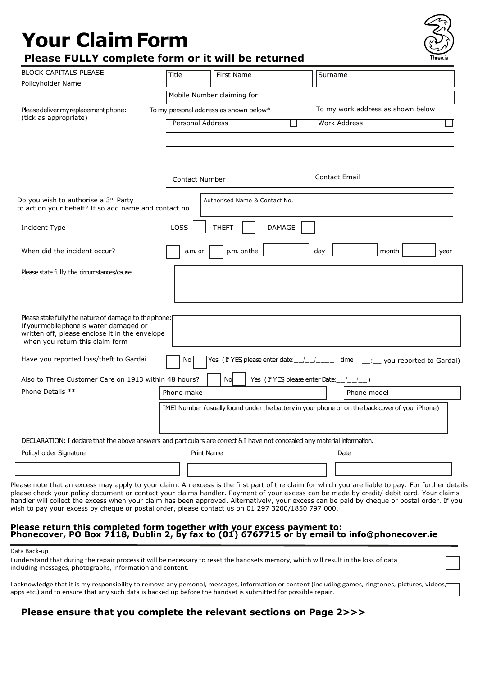# **Your ClaimForm***it will be returned*

| <b>BLOCK CAPITALS PLEASE</b>                                                                                                                                                           | Title<br>First Name                                                                                                        | Surname                                |  |  |
|----------------------------------------------------------------------------------------------------------------------------------------------------------------------------------------|----------------------------------------------------------------------------------------------------------------------------|----------------------------------------|--|--|
| Policyholder Name                                                                                                                                                                      |                                                                                                                            |                                        |  |  |
|                                                                                                                                                                                        | Mobile Number claiming for:                                                                                                |                                        |  |  |
| Please deliver my replacement phone:<br>(tick as appropriate)                                                                                                                          | To my work address as shown below<br>To my personal address as shown below*                                                |                                        |  |  |
|                                                                                                                                                                                        | <b>Personal Address</b>                                                                                                    | <b>Work Address</b>                    |  |  |
|                                                                                                                                                                                        |                                                                                                                            |                                        |  |  |
|                                                                                                                                                                                        |                                                                                                                            |                                        |  |  |
|                                                                                                                                                                                        | <b>Contact Number</b>                                                                                                      | <b>Contact Email</b>                   |  |  |
| Do you wish to authorise a 3rd Party<br>to act on your behalf? If so add name and contact no                                                                                           | Authorised Name & Contact No.                                                                                              |                                        |  |  |
| Incident Type                                                                                                                                                                          | LOSS<br><b>DAMAGE</b><br><b>THEFT</b>                                                                                      |                                        |  |  |
| When did the incident occur?                                                                                                                                                           | p.m. on the<br>a.m. or                                                                                                     | day<br>month<br>year                   |  |  |
| Please state fully the circumstances/cause                                                                                                                                             |                                                                                                                            |                                        |  |  |
| Please state fully the nature of damage to the phone:<br>If your mobile phone is water damaged or<br>written off, please enclose it in the envelope<br>when you return this claim form |                                                                                                                            |                                        |  |  |
| Have you reported loss/theft to Gardai                                                                                                                                                 | Yes (If YES please enter date: / /<br>No                                                                                   | time<br>__: __ you reported to Gardai) |  |  |
| Also to Three Customer Care on 1913 within 48 hours?                                                                                                                                   | Yes (If YES please enter Date: __/_/<br>Nol                                                                                |                                        |  |  |
| Phone Details **                                                                                                                                                                       | Phone make                                                                                                                 | Phone model                            |  |  |
|                                                                                                                                                                                        | IMEI Number (usually found under the battery in your phone or on the back cover of your iPhone)                            |                                        |  |  |
|                                                                                                                                                                                        | DECLARATION: I declare that the above answers and particulars are correct & I have not concealed any material information. |                                        |  |  |
| Policyholder Signature                                                                                                                                                                 | <b>Print Name</b>                                                                                                          | Date                                   |  |  |
|                                                                                                                                                                                        |                                                                                                                            |                                        |  |  |
|                                                                                                                                                                                        |                                                                                                                            |                                        |  |  |

wish to pay your excess by cheque or postal order, please contact us on 01 297 3200/1850 797 000.

## **Please return this completed form together with your excess payment to: Phonecover, PO Box 7118, Dublin 2, by fax to (01) 6767715 or by email to info@phonecover.ie**

#### Data Back-up

I understand that during the repair process it will be necessary to reset the handsets memory, which will result in the loss of data including messages, photographs, information and content.

I acknowledge that it is my responsibility to remove any personal, messages, information or content (including games, ringtones, pictures, videos, apps etc.) and to ensure that any such data is backed up before the handset is submitted for possible repair.

# **Please ensure that you complete the relevant sections on Page 2>>>**